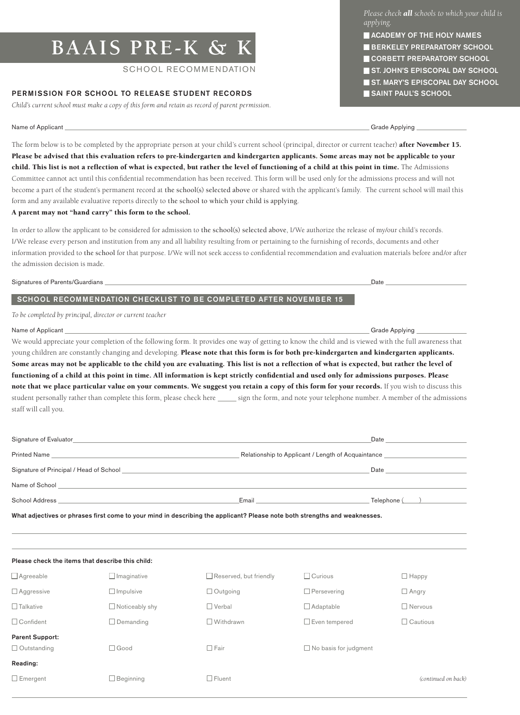# **BAAIS PRE-K & K**

# SCHOOL RECOMMENDATION

# PERMISSION FOR SCHOOL TO RELEASE STUDENT RECORDS

*Child's current school must make a copy of this form and retain as record of parent permission.*

Name of Applicant Grade Applying Crack Control of Applying Crack Control of Applying Grade Applying Crack Control of Applying Crack Control of Applying Crack Control of Applying Crack Control of Applying Crack Control of A

The form below is to be completed by the appropriate person at your child's current school (principal, director or current teacher) after November 15. Please be advised that this evaluation refers to pre-kindergarten and kindergarten applicants. Some areas may not be applicable to your child. This list is not a reflection of what is expected, but rather the level of functioning of a child at this point in time. The Admissions Committee cannot act until this confidential recommendation has been received. This form will be used only for the admissions process and will not become a part of the student's permanent record at the school(s) selected above or shared with the applicant's family. The current school will mail this form and any available evaluative reports directly to the school to which your child is applying.

# A parent may not "hand carry" this form to the school.

In order to allow the applicant to be considered for admission to the school(s) selected above, I/We authorize the release of my/our child's records. I/We release every person and institution from any and all liability resulting from or pertaining to the furnishing of records, documents and other information provided to the school for that purpose. I/We will not seek access to confidential recommendation and evaluation materials before and/or after the admission decision is made.

Signatures of Parents/Guardians Date

# SCHOOL RECOMMENDATION CHECKLIST TO BE COMPLETED AFTER NOVEMBER 15

*To be completed by principal, director or current teacher*

### Name of Applicant Grade Applying Crack Control of Applying Crack Crack Crack Crack Crack Crack Crack Crack Crack Crack Crack Crack Crack Crack Crack Crack Crack Crack Crack Crack Crack Crack Crack Crack Crack Crack Crack C

 $\overline{a}$ 

We would appreciate your completion of the following form. It provides one way of getting to know the child and is viewed with the full awareness that young children are constantly changing and developing. Please note that this form is for both pre-kindergarten and kindergarten applicants. Some areas may not be applicable to the child you are evaluating. This list is not a reflection of what is expected, but rather the level of functioning of a child at this point in time. All information is kept strictly confidential and used only for admissions purposes. Please note that we place particular value on your comments. We suggest you retain a copy of this form for your records. If you wish to discuss this student personally rather than complete this form, please check here sign the form, and note your telephone number. A member of the admissions staff will call you.

| Signature of Evaluator<br><u> 1989 - Andrea Santa Andrea Andrea Andrea Andrea Andrea Andrea Andrea Andrea Andrea Andrea Andrea Andrea Andr</u>                                                                                                                           |                                                    | Date          |
|--------------------------------------------------------------------------------------------------------------------------------------------------------------------------------------------------------------------------------------------------------------------------|----------------------------------------------------|---------------|
|                                                                                                                                                                                                                                                                          | Relationship to Applicant / Length of Acquaintance |               |
| Signature of Principal / Head of School<br>the control of the control of the control of the control of the control of the control of the control of the control of the control of the control of the control of the control of the control of the control of the control |                                                    | Date          |
| Name of School<br><u> 1980 - Jan Samuel Barbara, margaret e popular e popular e popular e popular e popular e popular e popular e</u>                                                                                                                                    |                                                    |               |
| School Address                                                                                                                                                                                                                                                           | Email                                              | Telephone ( ) |

What adjectives or phrases first come to your mind in describing the applicant? Please note both strengths and weaknesses.

| Please check the items that describe this child: |                       |                               |                              |                     |  |  |  |
|--------------------------------------------------|-----------------------|-------------------------------|------------------------------|---------------------|--|--|--|
| $\Box$ Agreeable                                 | $\Box$ Imaginative    | $\Box$ Reserved, but friendly | $\Box$ Curious               | $\Box$ Happy        |  |  |  |
| $\Box$ Aggressive                                | $\Box$ Impulsive      | $\Box$ Outgoing               | $\Box$ Persevering           | $\Box$ Angry        |  |  |  |
| $\Box$ Talkative                                 | $\Box$ Noticeably shy | $\square$ Verbal              | $\Box$ Adaptable             | $\Box$ Nervous      |  |  |  |
| □ Confident                                      | $\Box$ Demanding      | $\Box$ Withdrawn              | $\Box$ Even tempered         | $\Box$ Cautious     |  |  |  |
| <b>Parent Support:</b>                           |                       |                               |                              |                     |  |  |  |
| $\Box$ Outstanding                               | $\Box$ Good           | $\Box$ Fair                   | $\Box$ No basis for judgment |                     |  |  |  |
| Reading:                                         |                       |                               |                              |                     |  |  |  |
| $\Box$ Emergent                                  | $\Box$ Beginning      | $\Box$ Fluent                 |                              | (continued on back) |  |  |  |

*Please check all schools to which your child is applying.*

- **ACADEMY OF THE HOLY NAMES**
- **BERKELEY PREPARATORY SCHOOL**
- CORBETT PREPARATORY SCHOOL
- ST. JOHN'S EPISCOPAL DAY SCHOOL
- ST. MARY'S EPISCOPAL DAY SCHOOL
- SAINT PAUL'S SCHOOL